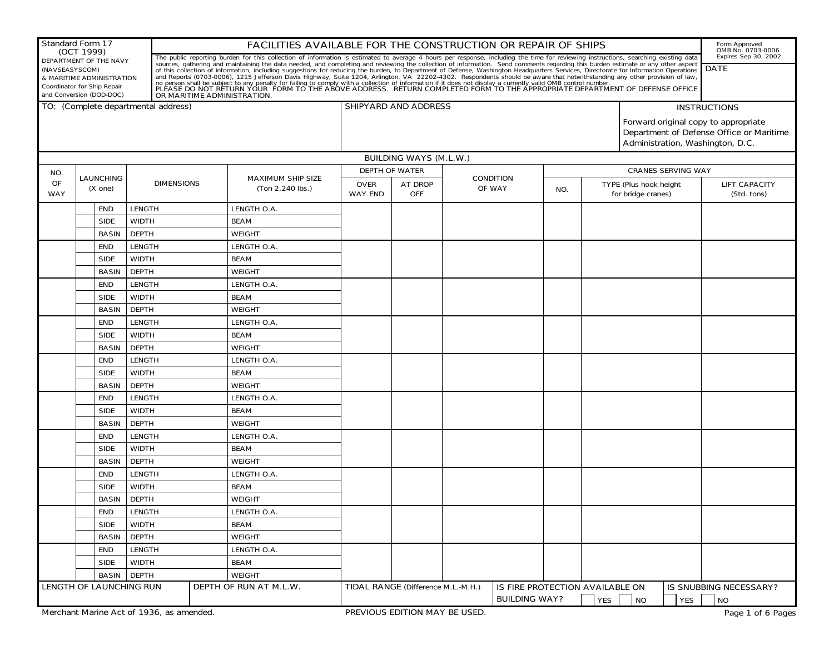| (OCT 1999)<br>Expires Sep 30, 2002<br>The public reporting burden for this collection of information is estimated to average 4 hours per response, including the time for reviewing instructions, searching existing data sources, gathering and maintaining the dat<br>DEPARTMENT OF THE NAVY<br><b>DATE</b><br>(NAVSEASYSCOM)<br>& MARITIME ADMINISTRATION<br>Coordinator for Ship Repair<br>and Conversion (DOD-DOC)<br>TO: (Complete departmental address)<br>SHIPYARD AND ADDRESS<br><b>INSTRUCTIONS</b><br>Forward original copy to appropriate<br>Department of Defense Office or Maritime<br>Administration, Washington, D.C.<br><b>BUILDING WAYS (M.L.W.)</b><br><b>DEPTH OF WATER</b><br><b>CRANES SERVING WAY</b><br>NO.<br><b>LAUNCHING</b><br><b>MAXIMUM SHIP SIZE</b><br><b>CONDITION</b><br><b>OF</b><br><b>DIMENSIONS</b><br><b>AT DROP</b><br>TYPE (Plus hook height<br><b>LIFT CAPACITY</b><br><b>OVER</b><br>OF WAY<br>(Ton 2,240 lbs.)<br>(X one)<br>NO.<br><b>WAY</b><br><b>OFF</b><br>for bridge cranes)<br><b>WAY END</b><br>(Std. tons)<br><b>LENGTH</b><br>LENGTH O.A.<br><b>END</b><br><b>SIDE</b><br><b>WIDTH</b><br><b>BEAM</b><br><b>DEPTH</b><br><b>BASIN</b><br><b>WEIGHT</b><br>LENGTH O.A.<br><b>LENGTH</b><br>END<br><b>SIDE</b><br><b>WIDTH</b><br><b>BEAM</b><br><b>DEPTH</b><br><b>BASIN</b><br><b>WEIGHT</b><br>LENGTH O.A.<br><b>END</b><br><b>LENGTH</b><br><b>WIDTH</b><br><b>BEAM</b><br><b>SIDE</b><br><b>DEPTH</b><br><b>BASIN</b><br><b>WEIGHT</b><br><b>LENGTH</b><br>LENGTH O.A.<br><b>END</b><br><b>SIDE</b><br><b>WIDTH</b><br><b>BEAM</b><br><b>DEPTH</b><br><b>BASIN</b><br><b>WEIGHT</b><br><b>LENGTH</b><br>LENGTH O.A.<br>END<br><b>SIDE</b><br><b>WIDTH</b><br><b>BEAM</b><br><b>DEPTH</b><br><b>BASIN</b><br><b>WEIGHT</b><br>LENGTH O.A.<br><b>END</b><br><b>LENGTH</b><br><b>SIDE</b><br><b>WIDTH</b><br><b>BEAM</b><br><b>DEPTH</b><br><b>WEIGHT</b><br><b>BASIN</b><br>LENGTH O.A.<br><b>END</b><br><b>LENGTH</b><br><b>SIDE</b><br><b>WIDTH</b><br><b>BEAM</b><br><b>DEPTH</b><br><b>BASIN</b><br><b>WEIGHT</b><br><b>LENGTH</b><br>LENGTH O.A.<br><b>END</b><br><b>WIDTH</b><br><b>BEAM</b><br><b>SIDE</b><br><b>BASIN</b><br><b>DEPTH</b><br><b>WEIGHT</b> | Form Approved<br>OMB No. 0703-0006 |  |
|---------------------------------------------------------------------------------------------------------------------------------------------------------------------------------------------------------------------------------------------------------------------------------------------------------------------------------------------------------------------------------------------------------------------------------------------------------------------------------------------------------------------------------------------------------------------------------------------------------------------------------------------------------------------------------------------------------------------------------------------------------------------------------------------------------------------------------------------------------------------------------------------------------------------------------------------------------------------------------------------------------------------------------------------------------------------------------------------------------------------------------------------------------------------------------------------------------------------------------------------------------------------------------------------------------------------------------------------------------------------------------------------------------------------------------------------------------------------------------------------------------------------------------------------------------------------------------------------------------------------------------------------------------------------------------------------------------------------------------------------------------------------------------------------------------------------------------------------------------------------------------------------------------------------------------------------------------------------------------------------------------------------------------------------------------------------------------------------------------------------------------------------------------------------------------------------------------------------------|------------------------------------|--|
|                                                                                                                                                                                                                                                                                                                                                                                                                                                                                                                                                                                                                                                                                                                                                                                                                                                                                                                                                                                                                                                                                                                                                                                                                                                                                                                                                                                                                                                                                                                                                                                                                                                                                                                                                                                                                                                                                                                                                                                                                                                                                                                                                                                                                           |                                    |  |
|                                                                                                                                                                                                                                                                                                                                                                                                                                                                                                                                                                                                                                                                                                                                                                                                                                                                                                                                                                                                                                                                                                                                                                                                                                                                                                                                                                                                                                                                                                                                                                                                                                                                                                                                                                                                                                                                                                                                                                                                                                                                                                                                                                                                                           |                                    |  |
|                                                                                                                                                                                                                                                                                                                                                                                                                                                                                                                                                                                                                                                                                                                                                                                                                                                                                                                                                                                                                                                                                                                                                                                                                                                                                                                                                                                                                                                                                                                                                                                                                                                                                                                                                                                                                                                                                                                                                                                                                                                                                                                                                                                                                           |                                    |  |
|                                                                                                                                                                                                                                                                                                                                                                                                                                                                                                                                                                                                                                                                                                                                                                                                                                                                                                                                                                                                                                                                                                                                                                                                                                                                                                                                                                                                                                                                                                                                                                                                                                                                                                                                                                                                                                                                                                                                                                                                                                                                                                                                                                                                                           |                                    |  |
|                                                                                                                                                                                                                                                                                                                                                                                                                                                                                                                                                                                                                                                                                                                                                                                                                                                                                                                                                                                                                                                                                                                                                                                                                                                                                                                                                                                                                                                                                                                                                                                                                                                                                                                                                                                                                                                                                                                                                                                                                                                                                                                                                                                                                           |                                    |  |
|                                                                                                                                                                                                                                                                                                                                                                                                                                                                                                                                                                                                                                                                                                                                                                                                                                                                                                                                                                                                                                                                                                                                                                                                                                                                                                                                                                                                                                                                                                                                                                                                                                                                                                                                                                                                                                                                                                                                                                                                                                                                                                                                                                                                                           |                                    |  |
|                                                                                                                                                                                                                                                                                                                                                                                                                                                                                                                                                                                                                                                                                                                                                                                                                                                                                                                                                                                                                                                                                                                                                                                                                                                                                                                                                                                                                                                                                                                                                                                                                                                                                                                                                                                                                                                                                                                                                                                                                                                                                                                                                                                                                           |                                    |  |
|                                                                                                                                                                                                                                                                                                                                                                                                                                                                                                                                                                                                                                                                                                                                                                                                                                                                                                                                                                                                                                                                                                                                                                                                                                                                                                                                                                                                                                                                                                                                                                                                                                                                                                                                                                                                                                                                                                                                                                                                                                                                                                                                                                                                                           |                                    |  |
|                                                                                                                                                                                                                                                                                                                                                                                                                                                                                                                                                                                                                                                                                                                                                                                                                                                                                                                                                                                                                                                                                                                                                                                                                                                                                                                                                                                                                                                                                                                                                                                                                                                                                                                                                                                                                                                                                                                                                                                                                                                                                                                                                                                                                           |                                    |  |
|                                                                                                                                                                                                                                                                                                                                                                                                                                                                                                                                                                                                                                                                                                                                                                                                                                                                                                                                                                                                                                                                                                                                                                                                                                                                                                                                                                                                                                                                                                                                                                                                                                                                                                                                                                                                                                                                                                                                                                                                                                                                                                                                                                                                                           |                                    |  |
|                                                                                                                                                                                                                                                                                                                                                                                                                                                                                                                                                                                                                                                                                                                                                                                                                                                                                                                                                                                                                                                                                                                                                                                                                                                                                                                                                                                                                                                                                                                                                                                                                                                                                                                                                                                                                                                                                                                                                                                                                                                                                                                                                                                                                           |                                    |  |
|                                                                                                                                                                                                                                                                                                                                                                                                                                                                                                                                                                                                                                                                                                                                                                                                                                                                                                                                                                                                                                                                                                                                                                                                                                                                                                                                                                                                                                                                                                                                                                                                                                                                                                                                                                                                                                                                                                                                                                                                                                                                                                                                                                                                                           |                                    |  |
|                                                                                                                                                                                                                                                                                                                                                                                                                                                                                                                                                                                                                                                                                                                                                                                                                                                                                                                                                                                                                                                                                                                                                                                                                                                                                                                                                                                                                                                                                                                                                                                                                                                                                                                                                                                                                                                                                                                                                                                                                                                                                                                                                                                                                           |                                    |  |
|                                                                                                                                                                                                                                                                                                                                                                                                                                                                                                                                                                                                                                                                                                                                                                                                                                                                                                                                                                                                                                                                                                                                                                                                                                                                                                                                                                                                                                                                                                                                                                                                                                                                                                                                                                                                                                                                                                                                                                                                                                                                                                                                                                                                                           |                                    |  |
|                                                                                                                                                                                                                                                                                                                                                                                                                                                                                                                                                                                                                                                                                                                                                                                                                                                                                                                                                                                                                                                                                                                                                                                                                                                                                                                                                                                                                                                                                                                                                                                                                                                                                                                                                                                                                                                                                                                                                                                                                                                                                                                                                                                                                           |                                    |  |
|                                                                                                                                                                                                                                                                                                                                                                                                                                                                                                                                                                                                                                                                                                                                                                                                                                                                                                                                                                                                                                                                                                                                                                                                                                                                                                                                                                                                                                                                                                                                                                                                                                                                                                                                                                                                                                                                                                                                                                                                                                                                                                                                                                                                                           |                                    |  |
|                                                                                                                                                                                                                                                                                                                                                                                                                                                                                                                                                                                                                                                                                                                                                                                                                                                                                                                                                                                                                                                                                                                                                                                                                                                                                                                                                                                                                                                                                                                                                                                                                                                                                                                                                                                                                                                                                                                                                                                                                                                                                                                                                                                                                           |                                    |  |
|                                                                                                                                                                                                                                                                                                                                                                                                                                                                                                                                                                                                                                                                                                                                                                                                                                                                                                                                                                                                                                                                                                                                                                                                                                                                                                                                                                                                                                                                                                                                                                                                                                                                                                                                                                                                                                                                                                                                                                                                                                                                                                                                                                                                                           |                                    |  |
|                                                                                                                                                                                                                                                                                                                                                                                                                                                                                                                                                                                                                                                                                                                                                                                                                                                                                                                                                                                                                                                                                                                                                                                                                                                                                                                                                                                                                                                                                                                                                                                                                                                                                                                                                                                                                                                                                                                                                                                                                                                                                                                                                                                                                           |                                    |  |
|                                                                                                                                                                                                                                                                                                                                                                                                                                                                                                                                                                                                                                                                                                                                                                                                                                                                                                                                                                                                                                                                                                                                                                                                                                                                                                                                                                                                                                                                                                                                                                                                                                                                                                                                                                                                                                                                                                                                                                                                                                                                                                                                                                                                                           |                                    |  |
|                                                                                                                                                                                                                                                                                                                                                                                                                                                                                                                                                                                                                                                                                                                                                                                                                                                                                                                                                                                                                                                                                                                                                                                                                                                                                                                                                                                                                                                                                                                                                                                                                                                                                                                                                                                                                                                                                                                                                                                                                                                                                                                                                                                                                           |                                    |  |
|                                                                                                                                                                                                                                                                                                                                                                                                                                                                                                                                                                                                                                                                                                                                                                                                                                                                                                                                                                                                                                                                                                                                                                                                                                                                                                                                                                                                                                                                                                                                                                                                                                                                                                                                                                                                                                                                                                                                                                                                                                                                                                                                                                                                                           |                                    |  |
|                                                                                                                                                                                                                                                                                                                                                                                                                                                                                                                                                                                                                                                                                                                                                                                                                                                                                                                                                                                                                                                                                                                                                                                                                                                                                                                                                                                                                                                                                                                                                                                                                                                                                                                                                                                                                                                                                                                                                                                                                                                                                                                                                                                                                           |                                    |  |
|                                                                                                                                                                                                                                                                                                                                                                                                                                                                                                                                                                                                                                                                                                                                                                                                                                                                                                                                                                                                                                                                                                                                                                                                                                                                                                                                                                                                                                                                                                                                                                                                                                                                                                                                                                                                                                                                                                                                                                                                                                                                                                                                                                                                                           |                                    |  |
|                                                                                                                                                                                                                                                                                                                                                                                                                                                                                                                                                                                                                                                                                                                                                                                                                                                                                                                                                                                                                                                                                                                                                                                                                                                                                                                                                                                                                                                                                                                                                                                                                                                                                                                                                                                                                                                                                                                                                                                                                                                                                                                                                                                                                           |                                    |  |
|                                                                                                                                                                                                                                                                                                                                                                                                                                                                                                                                                                                                                                                                                                                                                                                                                                                                                                                                                                                                                                                                                                                                                                                                                                                                                                                                                                                                                                                                                                                                                                                                                                                                                                                                                                                                                                                                                                                                                                                                                                                                                                                                                                                                                           |                                    |  |
|                                                                                                                                                                                                                                                                                                                                                                                                                                                                                                                                                                                                                                                                                                                                                                                                                                                                                                                                                                                                                                                                                                                                                                                                                                                                                                                                                                                                                                                                                                                                                                                                                                                                                                                                                                                                                                                                                                                                                                                                                                                                                                                                                                                                                           |                                    |  |
|                                                                                                                                                                                                                                                                                                                                                                                                                                                                                                                                                                                                                                                                                                                                                                                                                                                                                                                                                                                                                                                                                                                                                                                                                                                                                                                                                                                                                                                                                                                                                                                                                                                                                                                                                                                                                                                                                                                                                                                                                                                                                                                                                                                                                           |                                    |  |
|                                                                                                                                                                                                                                                                                                                                                                                                                                                                                                                                                                                                                                                                                                                                                                                                                                                                                                                                                                                                                                                                                                                                                                                                                                                                                                                                                                                                                                                                                                                                                                                                                                                                                                                                                                                                                                                                                                                                                                                                                                                                                                                                                                                                                           |                                    |  |
|                                                                                                                                                                                                                                                                                                                                                                                                                                                                                                                                                                                                                                                                                                                                                                                                                                                                                                                                                                                                                                                                                                                                                                                                                                                                                                                                                                                                                                                                                                                                                                                                                                                                                                                                                                                                                                                                                                                                                                                                                                                                                                                                                                                                                           |                                    |  |
| <b>LENGTH</b><br>LENGTH O.A.<br><b>END</b>                                                                                                                                                                                                                                                                                                                                                                                                                                                                                                                                                                                                                                                                                                                                                                                                                                                                                                                                                                                                                                                                                                                                                                                                                                                                                                                                                                                                                                                                                                                                                                                                                                                                                                                                                                                                                                                                                                                                                                                                                                                                                                                                                                                |                                    |  |
| <b>WIDTH</b><br><b>BEAM</b><br><b>SIDE</b>                                                                                                                                                                                                                                                                                                                                                                                                                                                                                                                                                                                                                                                                                                                                                                                                                                                                                                                                                                                                                                                                                                                                                                                                                                                                                                                                                                                                                                                                                                                                                                                                                                                                                                                                                                                                                                                                                                                                                                                                                                                                                                                                                                                |                                    |  |
| <b>DEPTH</b><br><b>BASIN</b><br><b>WEIGHT</b>                                                                                                                                                                                                                                                                                                                                                                                                                                                                                                                                                                                                                                                                                                                                                                                                                                                                                                                                                                                                                                                                                                                                                                                                                                                                                                                                                                                                                                                                                                                                                                                                                                                                                                                                                                                                                                                                                                                                                                                                                                                                                                                                                                             |                                    |  |
| <b>LENGTH</b><br>LENGTH O.A.<br><b>END</b>                                                                                                                                                                                                                                                                                                                                                                                                                                                                                                                                                                                                                                                                                                                                                                                                                                                                                                                                                                                                                                                                                                                                                                                                                                                                                                                                                                                                                                                                                                                                                                                                                                                                                                                                                                                                                                                                                                                                                                                                                                                                                                                                                                                |                                    |  |
| <b>WIDTH</b><br><b>BEAM</b><br><b>SIDE</b>                                                                                                                                                                                                                                                                                                                                                                                                                                                                                                                                                                                                                                                                                                                                                                                                                                                                                                                                                                                                                                                                                                                                                                                                                                                                                                                                                                                                                                                                                                                                                                                                                                                                                                                                                                                                                                                                                                                                                                                                                                                                                                                                                                                |                                    |  |
| <b>DEPTH</b><br><b>WEIGHT</b><br><b>BASIN</b>                                                                                                                                                                                                                                                                                                                                                                                                                                                                                                                                                                                                                                                                                                                                                                                                                                                                                                                                                                                                                                                                                                                                                                                                                                                                                                                                                                                                                                                                                                                                                                                                                                                                                                                                                                                                                                                                                                                                                                                                                                                                                                                                                                             |                                    |  |
| LENGTH OF LAUNCHING RUN<br>DEPTH OF RUN AT M.L.W.<br>TIDAL RANGE (Difference M.L.-M.H.)<br>IS FIRE PROTECTION AVAILABLE ON<br>IS SNUBBING NECESSARY?                                                                                                                                                                                                                                                                                                                                                                                                                                                                                                                                                                                                                                                                                                                                                                                                                                                                                                                                                                                                                                                                                                                                                                                                                                                                                                                                                                                                                                                                                                                                                                                                                                                                                                                                                                                                                                                                                                                                                                                                                                                                      |                                    |  |
| <b>BUILDING WAY?</b><br>YES<br>YES<br><b>NO</b><br><b>NO</b><br>Merchant Marine Act of 1936, as amended.<br>PREVIOUS EDITION MAY BE USED.                                                                                                                                                                                                                                                                                                                                                                                                                                                                                                                                                                                                                                                                                                                                                                                                                                                                                                                                                                                                                                                                                                                                                                                                                                                                                                                                                                                                                                                                                                                                                                                                                                                                                                                                                                                                                                                                                                                                                                                                                                                                                 | Page 1 of 6 Pages                  |  |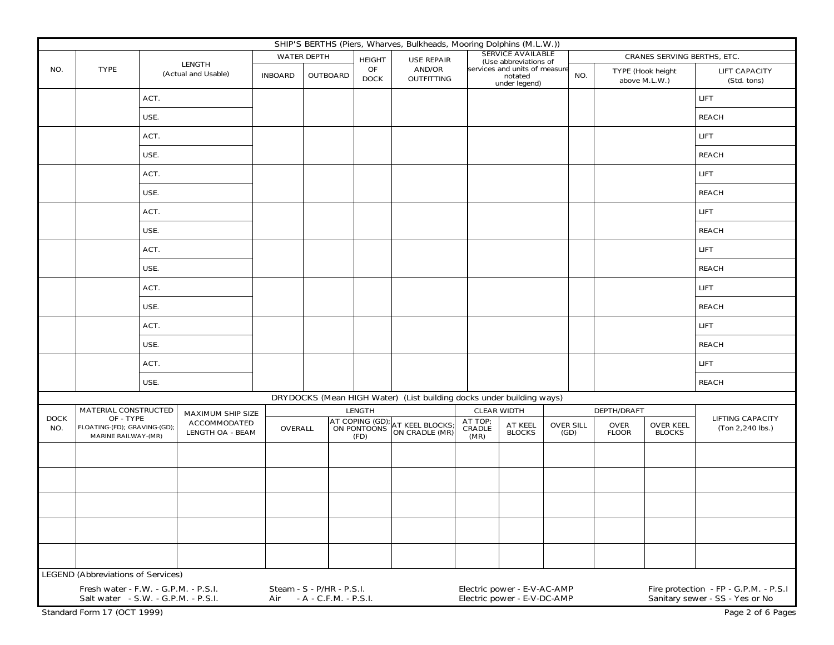|                                                                      | SHIP'S BERTHS (Piers, Wharves, Bulkheads, Mooring Dolphins (M.L.W.))                                                         |                     |                                                                                       |                |                                                                       |                   |                             |                                                           |                                                            |                                              |             |                  |                                    |                                                                          |
|----------------------------------------------------------------------|------------------------------------------------------------------------------------------------------------------------------|---------------------|---------------------------------------------------------------------------------------|----------------|-----------------------------------------------------------------------|-------------------|-----------------------------|-----------------------------------------------------------|------------------------------------------------------------|----------------------------------------------|-------------|------------------|------------------------------------|--------------------------------------------------------------------------|
|                                                                      |                                                                                                                              |                     | <b>LENGTH</b>                                                                         |                | <b>WATER DEPTH</b>                                                    | <b>HEIGHT</b>     | <b>USE REPAIR</b>           |                                                           | <b>SERVICE AVAILABLE</b><br>(Use abbreviations of          |                                              |             |                  | <b>CRANES SERVING BERTHS, ETC.</b> |                                                                          |
| NO.                                                                  | <b>TYPE</b>                                                                                                                  | (Actual and Usable) |                                                                                       | <b>INBOARD</b> | <b>OUTBOARD</b>                                                       | OF<br><b>DOCK</b> | AND/OR<br><b>OUTFITTING</b> | services and units of measure<br>notated<br>under legend) |                                                            |                                              | NO.         |                  | TYPE (Hook height<br>above M.L.W.) | <b>LIFT CAPACITY</b><br>(Std. tons)                                      |
|                                                                      |                                                                                                                              | ACT.                |                                                                                       |                |                                                                       |                   |                             |                                                           |                                                            |                                              |             |                  |                                    | <b>LIFT</b>                                                              |
|                                                                      |                                                                                                                              | USE.                |                                                                                       |                |                                                                       |                   |                             |                                                           |                                                            |                                              |             |                  |                                    | <b>REACH</b>                                                             |
|                                                                      |                                                                                                                              | ACT.                |                                                                                       |                |                                                                       |                   |                             |                                                           |                                                            |                                              |             |                  |                                    | <b>LIFT</b>                                                              |
|                                                                      |                                                                                                                              | USE.                |                                                                                       |                |                                                                       |                   |                             |                                                           |                                                            |                                              |             |                  |                                    | <b>REACH</b>                                                             |
|                                                                      |                                                                                                                              | ACT.                |                                                                                       |                |                                                                       |                   |                             |                                                           |                                                            |                                              |             |                  |                                    | <b>LIFT</b>                                                              |
|                                                                      |                                                                                                                              | USE.                |                                                                                       |                |                                                                       |                   |                             |                                                           |                                                            |                                              |             |                  |                                    | <b>REACH</b>                                                             |
|                                                                      |                                                                                                                              | ACT.                |                                                                                       |                |                                                                       |                   |                             |                                                           |                                                            |                                              |             |                  |                                    | <b>LIFT</b>                                                              |
|                                                                      |                                                                                                                              | USE.                |                                                                                       |                |                                                                       |                   |                             |                                                           |                                                            |                                              |             |                  |                                    | <b>REACH</b>                                                             |
|                                                                      |                                                                                                                              | ACT.                |                                                                                       |                |                                                                       |                   |                             |                                                           |                                                            |                                              |             |                  |                                    | <b>LIFT</b>                                                              |
|                                                                      |                                                                                                                              | USE.                |                                                                                       |                |                                                                       |                   |                             |                                                           |                                                            |                                              |             |                  |                                    | <b>REACH</b>                                                             |
|                                                                      |                                                                                                                              | ACT.                |                                                                                       |                |                                                                       |                   |                             |                                                           |                                                            |                                              |             |                  |                                    | <b>LIFT</b>                                                              |
|                                                                      | USE.                                                                                                                         |                     |                                                                                       |                |                                                                       |                   |                             |                                                           |                                                            |                                              |             |                  | <b>REACH</b>                       |                                                                          |
|                                                                      | ACT.                                                                                                                         |                     |                                                                                       |                |                                                                       |                   |                             |                                                           |                                                            |                                              |             |                  | <b>LIFT</b>                        |                                                                          |
|                                                                      |                                                                                                                              | USE.                |                                                                                       |                |                                                                       |                   |                             |                                                           |                                                            |                                              |             |                  |                                    | <b>REACH</b>                                                             |
|                                                                      |                                                                                                                              | ACT.                |                                                                                       |                |                                                                       |                   |                             |                                                           |                                                            |                                              |             |                  |                                    | <b>LIFT</b>                                                              |
|                                                                      |                                                                                                                              | USE.                |                                                                                       |                |                                                                       |                   |                             |                                                           |                                                            |                                              |             |                  |                                    | <b>REACH</b>                                                             |
| DRYDOCKS (Mean HIGH Water) (List building docks under building ways) |                                                                                                                              |                     |                                                                                       |                |                                                                       |                   |                             |                                                           |                                                            |                                              |             |                  |                                    |                                                                          |
|                                                                      | <b>MATERIAL CONSTRUCTED</b><br><b>DOCK</b><br>OF - TYPE<br>FLOATING-(FD); GRAVING-(GD);<br>NO.<br><b>MARINE RAILWAY-(MR)</b> |                     | <b>MAXIMUM SHIP SIZE</b><br><b>ACCOMMODATED</b><br>OVERALL<br><b>LENGTH OA - BEAM</b> |                | <b>LENGTH</b>                                                         |                   |                             |                                                           | <b>CLEAR WIDTH</b>                                         |                                              | DEPTH/DRAFT |                  |                                    | <b>LIFTING CAPACITY</b><br>(Ton 2,240 lbs.)                              |
|                                                                      |                                                                                                                              |                     |                                                                                       |                | AT COPING (GD); AT KEEL BLOCKS;<br>ON PONTOONS ON CRADLE (MR)<br>(FD) |                   | AT TOP;<br>CRADLE<br>(MR)   | AT KEEL<br><b>OVER SILL</b><br><b>BLOCKS</b><br>(GD)      |                                                            | <b>OVER</b><br><b>FLOOR</b><br><b>BLOCKS</b> |             | <b>OVER KEEL</b> |                                    |                                                                          |
|                                                                      |                                                                                                                              |                     |                                                                                       |                |                                                                       |                   |                             |                                                           |                                                            |                                              |             |                  |                                    |                                                                          |
|                                                                      |                                                                                                                              |                     |                                                                                       |                |                                                                       |                   |                             |                                                           |                                                            |                                              |             |                  |                                    |                                                                          |
|                                                                      |                                                                                                                              |                     |                                                                                       |                |                                                                       |                   |                             |                                                           |                                                            |                                              |             |                  |                                    |                                                                          |
|                                                                      |                                                                                                                              |                     |                                                                                       |                |                                                                       |                   |                             |                                                           |                                                            |                                              |             |                  |                                    |                                                                          |
|                                                                      |                                                                                                                              |                     |                                                                                       |                |                                                                       |                   |                             |                                                           |                                                            |                                              |             |                  |                                    |                                                                          |
|                                                                      |                                                                                                                              |                     |                                                                                       |                |                                                                       |                   |                             |                                                           |                                                            |                                              |             |                  |                                    |                                                                          |
|                                                                      | <b>LEGEND</b> (Abbreviations of Services)                                                                                    |                     |                                                                                       |                |                                                                       |                   |                             |                                                           |                                                            |                                              |             |                  |                                    |                                                                          |
|                                                                      | Fresh water - F.W. - G.P.M. - P.S.I.<br>Salt water - S.W. - G.P.M. - P.S.I.                                                  |                     |                                                                                       | Air            | Steam - S - P/HR - P.S.I.<br>- A - C.F.M. - P.S.I.                    |                   |                             |                                                           | Electric power - E-V-AC-AMP<br>Electric power - E-V-DC-AMP |                                              |             |                  |                                    | Fire protection - FP - G.P.M. - P.S.I<br>Sanitary sewer - SS - Yes or No |
|                                                                      | Standard Form 17 (OCT 1999)<br>Page 2 of 6 Pages                                                                             |                     |                                                                                       |                |                                                                       |                   |                             |                                                           |                                                            |                                              |             |                  |                                    |                                                                          |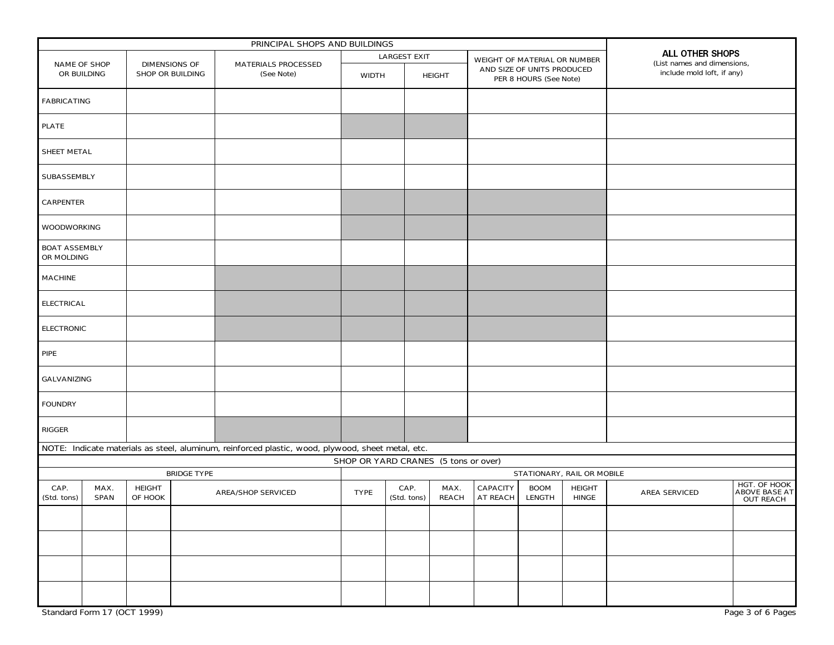| PRINCIPAL SHOPS AND BUILDINGS      |                     |                                                 |  |                                                                                                   |                                      |                     |               |                            |                                                      |                              |                               |                                                |  |                                          |
|------------------------------------|---------------------|-------------------------------------------------|--|---------------------------------------------------------------------------------------------------|--------------------------------------|---------------------|---------------|----------------------------|------------------------------------------------------|------------------------------|-------------------------------|------------------------------------------------|--|------------------------------------------|
|                                    |                     |                                                 |  |                                                                                                   | <b>LARGEST EXIT</b>                  |                     |               |                            |                                                      | WEIGHT OF MATERIAL OR NUMBER |                               | ALL OTHER SHOPS<br>(List names and dimensions, |  |                                          |
| <b>NAME OF SHOP</b><br>OR BUILDING |                     | <b>DIMENSIONS OF</b><br><b>SHOP OR BUILDING</b> |  | <b>MATERIALS PROCESSED</b><br>(See Note)                                                          | <b>WIDTH</b>                         |                     | <b>HEIGHT</b> |                            | AND SIZE OF UNITS PRODUCED<br>PER 8 HOURS (See Note) |                              |                               | include mold loft, if any)                     |  |                                          |
| <b>FABRICATING</b>                 |                     |                                                 |  |                                                                                                   |                                      |                     |               |                            |                                                      |                              |                               |                                                |  |                                          |
| <b>PLATE</b>                       |                     |                                                 |  |                                                                                                   |                                      |                     |               |                            |                                                      |                              |                               |                                                |  |                                          |
| SHEET METAL                        |                     |                                                 |  |                                                                                                   |                                      |                     |               |                            |                                                      |                              |                               |                                                |  |                                          |
| SUBASSEMBLY                        |                     |                                                 |  |                                                                                                   |                                      |                     |               |                            |                                                      |                              |                               |                                                |  |                                          |
| <b>CARPENTER</b>                   |                     |                                                 |  |                                                                                                   |                                      |                     |               |                            |                                                      |                              |                               |                                                |  |                                          |
| <b>WOODWORKING</b>                 |                     |                                                 |  |                                                                                                   |                                      |                     |               |                            |                                                      |                              |                               |                                                |  |                                          |
| <b>BOAT ASSEMBLY</b><br>OR MOLDING |                     |                                                 |  |                                                                                                   |                                      |                     |               |                            |                                                      |                              |                               |                                                |  |                                          |
| <b>MACHINE</b>                     |                     |                                                 |  |                                                                                                   |                                      |                     |               |                            |                                                      |                              |                               |                                                |  |                                          |
| <b>ELECTRICAL</b>                  |                     |                                                 |  |                                                                                                   |                                      |                     |               |                            |                                                      |                              |                               |                                                |  |                                          |
| <b>ELECTRONIC</b>                  |                     |                                                 |  |                                                                                                   |                                      |                     |               |                            |                                                      |                              |                               |                                                |  |                                          |
| <b>PIPE</b>                        |                     |                                                 |  |                                                                                                   |                                      |                     |               |                            |                                                      |                              |                               |                                                |  |                                          |
| GALVANIZING                        |                     |                                                 |  |                                                                                                   |                                      |                     |               |                            |                                                      |                              |                               |                                                |  |                                          |
| <b>FOUNDRY</b>                     |                     |                                                 |  |                                                                                                   |                                      |                     |               |                            |                                                      |                              |                               |                                                |  |                                          |
| RIGGER                             |                     |                                                 |  |                                                                                                   |                                      |                     |               |                            |                                                      |                              |                               |                                                |  |                                          |
|                                    |                     |                                                 |  | NOTE: Indicate materials as steel, aluminum, reinforced plastic, wood, plywood, sheet metal, etc. |                                      |                     |               |                            |                                                      |                              |                               |                                                |  |                                          |
|                                    |                     |                                                 |  |                                                                                                   | SHOP OR YARD CRANES (5 tons or over) |                     |               |                            |                                                      |                              |                               |                                                |  |                                          |
|                                    | <b>BRIDGE TYPE</b>  |                                                 |  |                                                                                                   |                                      |                     |               | STATIONARY, RAIL OR MOBILE |                                                      |                              | HGT. OF HOOK                  |                                                |  |                                          |
| CAP.<br>(Std. tons)                | MAX.<br><b>SPAN</b> | <b>HEIGHT</b><br>OF HOOK                        |  | <b>AREA/SHOP SERVICED</b>                                                                         | <b>TYPE</b>                          | CAP.<br>(Std. tons) |               | MAX.<br><b>REACH</b>       | <b>CAPACITY</b><br>AT REACH                          | <b>BOOM</b><br>LENGTH        | <b>HEIGHT</b><br><b>HINGE</b> | <b>AREA SERVICED</b>                           |  | <b>ABOVE BASE AT</b><br><b>OUT REACH</b> |
|                                    |                     |                                                 |  |                                                                                                   |                                      |                     |               |                            |                                                      |                              |                               |                                                |  |                                          |
|                                    |                     |                                                 |  |                                                                                                   |                                      |                     |               |                            |                                                      |                              |                               |                                                |  |                                          |
|                                    |                     |                                                 |  |                                                                                                   |                                      |                     |               |                            |                                                      |                              |                               |                                                |  |                                          |
|                                    |                     |                                                 |  |                                                                                                   |                                      |                     |               |                            |                                                      |                              |                               |                                                |  |                                          |
| Standard Form 17 (OCT 1999)        |                     |                                                 |  |                                                                                                   |                                      |                     |               |                            |                                                      |                              |                               |                                                |  | Page 3 of 6 Pages                        |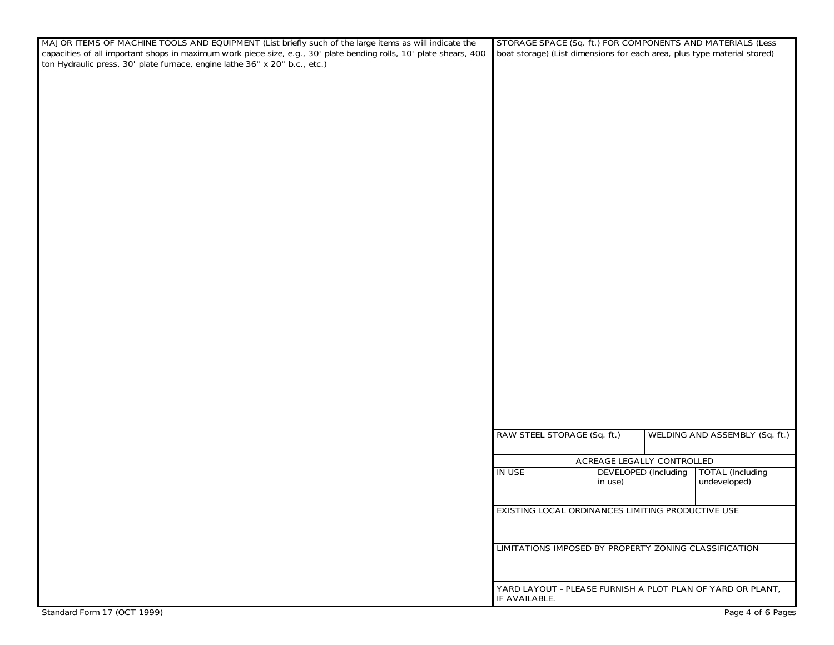| MAJOR ITEMS OF MACHINE TOOLS AND EQUIPMENT (List briefly such of the large items as will indicate the              | STORAGE SPACE (Sq. ft.) FOR COMPONENTS AND MATERIALS (Less                  |                                |
|--------------------------------------------------------------------------------------------------------------------|-----------------------------------------------------------------------------|--------------------------------|
| capacities of all important shops in maximum work piece size, e.g., 30' plate bending rolls, 10' plate shears, 400 | boat storage) (List dimensions for each area, plus type material stored)    |                                |
| ton Hydraulic press, 30' plate furnace, engine lathe 36" x 20" b.c., etc.)                                         |                                                                             |                                |
|                                                                                                                    |                                                                             |                                |
|                                                                                                                    |                                                                             |                                |
|                                                                                                                    |                                                                             |                                |
|                                                                                                                    |                                                                             |                                |
|                                                                                                                    |                                                                             |                                |
|                                                                                                                    |                                                                             |                                |
|                                                                                                                    |                                                                             |                                |
|                                                                                                                    |                                                                             |                                |
|                                                                                                                    |                                                                             |                                |
|                                                                                                                    |                                                                             |                                |
|                                                                                                                    |                                                                             |                                |
|                                                                                                                    |                                                                             |                                |
|                                                                                                                    |                                                                             |                                |
|                                                                                                                    |                                                                             |                                |
|                                                                                                                    |                                                                             |                                |
|                                                                                                                    |                                                                             |                                |
|                                                                                                                    |                                                                             |                                |
|                                                                                                                    |                                                                             |                                |
|                                                                                                                    |                                                                             |                                |
|                                                                                                                    |                                                                             |                                |
|                                                                                                                    |                                                                             |                                |
|                                                                                                                    |                                                                             |                                |
|                                                                                                                    |                                                                             |                                |
|                                                                                                                    |                                                                             |                                |
|                                                                                                                    |                                                                             |                                |
|                                                                                                                    |                                                                             |                                |
|                                                                                                                    |                                                                             |                                |
|                                                                                                                    |                                                                             |                                |
|                                                                                                                    |                                                                             |                                |
|                                                                                                                    |                                                                             |                                |
|                                                                                                                    |                                                                             |                                |
|                                                                                                                    |                                                                             |                                |
|                                                                                                                    | RAW STEEL STORAGE (Sq. ft.)                                                 | WELDING AND ASSEMBLY (Sq. ft.) |
|                                                                                                                    |                                                                             |                                |
|                                                                                                                    | <b>ACREAGE LEGALLY CONTROLLED</b>                                           |                                |
|                                                                                                                    | <b>IN USE</b><br><b>DEVELOPED</b> (Including                                | <b>TOTAL</b> (Including        |
|                                                                                                                    | in use)                                                                     | undeveloped)                   |
|                                                                                                                    |                                                                             |                                |
|                                                                                                                    | <b>EXISTING LOCAL ORDINANCES LIMITING PRODUCTIVE USE</b>                    |                                |
|                                                                                                                    |                                                                             |                                |
|                                                                                                                    |                                                                             |                                |
|                                                                                                                    | LIMITATIONS IMPOSED BY PROPERTY ZONING CLASSIFICATION                       |                                |
|                                                                                                                    |                                                                             |                                |
|                                                                                                                    |                                                                             |                                |
|                                                                                                                    |                                                                             |                                |
|                                                                                                                    | YARD LAYOUT - PLEASE FURNISH A PLOT PLAN OF YARD OR PLANT,<br>IF AVAILABLE. |                                |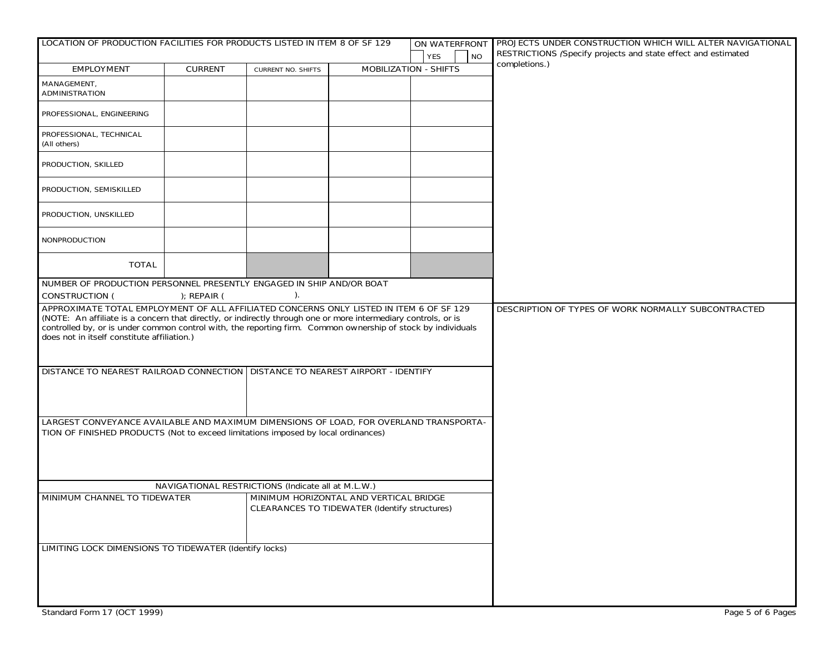| LOCATION OF PRODUCTION FACILITIES FOR PRODUCTS LISTED IN ITEM 8 OF SF 129                                                                                                                                                                                                                                                                                                |                |                                                                                                |                              | ON WATERFRONT           | <b>I PROJECTS UNDER CONSTRUCTION WHICH WILL ALTER NAVIGATIONAL</b>             |
|--------------------------------------------------------------------------------------------------------------------------------------------------------------------------------------------------------------------------------------------------------------------------------------------------------------------------------------------------------------------------|----------------|------------------------------------------------------------------------------------------------|------------------------------|-------------------------|--------------------------------------------------------------------------------|
|                                                                                                                                                                                                                                                                                                                                                                          |                |                                                                                                |                              | <b>YES</b><br><b>NO</b> | RESTRICTIONS (Specify projects and state effect and estimated<br>completions.) |
| <b>EMPLOYMENT</b>                                                                                                                                                                                                                                                                                                                                                        | <b>CURRENT</b> | <b>CURRENT NO. SHIFTS</b>                                                                      | <b>MOBILIZATION - SHIFTS</b> |                         |                                                                                |
| MANAGEMENT,<br><b>ADMINISTRATION</b>                                                                                                                                                                                                                                                                                                                                     |                |                                                                                                |                              |                         |                                                                                |
| PROFESSIONAL, ENGINEERING                                                                                                                                                                                                                                                                                                                                                |                |                                                                                                |                              |                         |                                                                                |
| PROFESSIONAL, TECHNICAL<br>(All others)                                                                                                                                                                                                                                                                                                                                  |                |                                                                                                |                              |                         |                                                                                |
| PRODUCTION, SKILLED                                                                                                                                                                                                                                                                                                                                                      |                |                                                                                                |                              |                         |                                                                                |
| PRODUCTION, SEMISKILLED                                                                                                                                                                                                                                                                                                                                                  |                |                                                                                                |                              |                         |                                                                                |
| PRODUCTION, UNSKILLED                                                                                                                                                                                                                                                                                                                                                    |                |                                                                                                |                              |                         |                                                                                |
| <b>NONPRODUCTION</b>                                                                                                                                                                                                                                                                                                                                                     |                |                                                                                                |                              |                         |                                                                                |
| <b>TOTAL</b>                                                                                                                                                                                                                                                                                                                                                             |                |                                                                                                |                              |                         |                                                                                |
| NUMBER OF PRODUCTION PERSONNEL PRESENTLY ENGAGED IN SHIP AND/OR BOAT<br><b>CONSTRUCTION (</b>                                                                                                                                                                                                                                                                            | $);$ REPAIR (  |                                                                                                |                              |                         |                                                                                |
| APPROXIMATE TOTAL EMPLOYMENT OF ALL AFFILIATED CONCERNS ONLY LISTED IN ITEM 6 OF SF 129<br>(NOTE: An affiliate is a concern that directly, or indirectly through one or more intermediary controls, or is<br>controlled by, or is under common control with, the reporting firm. Common ownership of stock by individuals<br>does not in itself constitute affiliation.) |                |                                                                                                |                              |                         | DESCRIPTION OF TYPES OF WORK NORMALLY SUBCONTRACTED                            |
| DISTANCE TO NEAREST RAILROAD CONNECTION   DISTANCE TO NEAREST AIRPORT - IDENTIFY                                                                                                                                                                                                                                                                                         |                |                                                                                                |                              |                         |                                                                                |
| LARGEST CONVEYANCE AVAILABLE AND MAXIMUM DIMENSIONS OF LOAD, FOR OVERLAND TRANSPORTA-<br>TION OF FINISHED PRODUCTS (Not to exceed limitations imposed by local ordinances)                                                                                                                                                                                               |                |                                                                                                |                              |                         |                                                                                |
|                                                                                                                                                                                                                                                                                                                                                                          |                | NAVIGATIONAL RESTRICTIONS (Indicate all at M.L.W.)                                             |                              |                         |                                                                                |
| MINIMUM CHANNEL TO TIDEWATER                                                                                                                                                                                                                                                                                                                                             |                | MINIMUM HORIZONTAL AND VERTICAL BRIDGE<br><b>CLEARANCES TO TIDEWATER (Identify structures)</b> |                              |                         |                                                                                |
| <b>LIMITING LOCK DIMENSIONS TO TIDEWATER (Identify locks)</b>                                                                                                                                                                                                                                                                                                            |                |                                                                                                |                              |                         |                                                                                |
|                                                                                                                                                                                                                                                                                                                                                                          |                |                                                                                                |                              |                         |                                                                                |